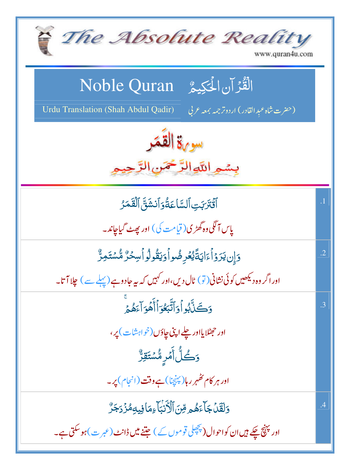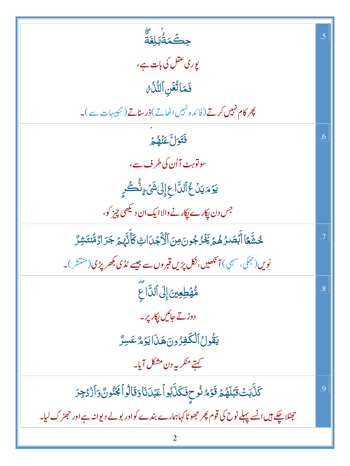| ڿڪۡمَةُٰؠؐڸۼ <sub>ۘ</sub>                                                                        | .5             |
|--------------------------------------------------------------------------------------------------|----------------|
| یوری عقل کی بات ہے،                                                                              |                |
| فَمَاتُغُنِ ٱلتَّذُّعُ                                                                           |                |
| پھر کام نہیں کرتے (فائدہ نہیں اٹھاتے)ڈرسناتے (تنبیہات سے)۔                                       |                |
| فَتَوَلَّ عَنْهُمْ                                                                               | .6             |
| سونوہٹ آاُن کی طرف سے،                                                                           |                |
| <b>يَرۡ</b> مَ يَنۡ عُٱلدَّاعِ إِلَىٰ شَيۡ ءٍنُّكُورِ                                            |                |
| جس دن پکارے پکارنے والا ایک ان د <sup>یکھی</sup> چیز کو،                                         |                |
| ڿ۠ۺ۠ؖۼؘٳٲٛڹؘۘؗؗڝؘ <i>ۮؚۿؽ</i> ٙڲؘۯ۠جُونَ؋ؚڹؘٲڷۯٚۘڿۡڹؘٳٮؾؚ۫ػٲؙۜڹ <sub>ۘۜڷ</sub> ؠؽٙڿڒٳڒ۠ۺ۠ؾۺڒ۠    | .7             |
| نویں(جھکی، سہمی) آنکھیں،نکل پڑیں قبروں سے جیسے ٹڈی بکھر پڑی(منتش)۔                               |                |
| مُّهُطِعِينَ إِلَى ٱلدَّاجَ                                                                      | $\overline{8}$ |
| دوڑتے جائیں ایکار پر۔                                                                            |                |
| يَقُولُ ٱلْكَفِرُونَ هَذَا يَوۡهُ عَسِرٌ                                                         |                |
| کہتے منکر پہ دن مشکل آیا۔                                                                        |                |
| ػڷؖڹؘؾؙ <b>ۊ</b> ٞڹؘڶۿؽۊٙۏۿۺ۠؏ڣؘػڷۜڹ۠ۅٲٝۼڹؘٮڷٵۅؘڦٲڷۅٲۼٮٞ۠ۏڹ۠؋ٲۯ۬ۮڿۯ                              | .9             |
| حجٹلا چکے ہیں انسے پہلے نوح کی قوم پھر حجھوٹا کہاہمارے بندے کواور بولے دیوانہ ہے اور حجٹر ک لیا۔ |                |
|                                                                                                  |                |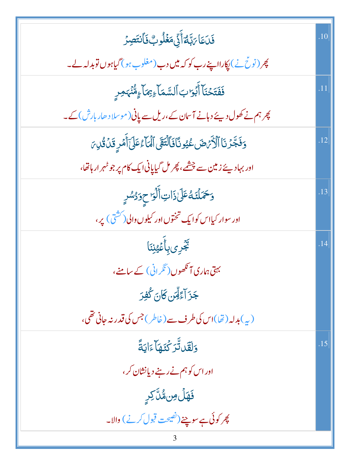| فَدَعَا يَبْتُمَأَنِّي مَغْلُوبٌ فَأَنتَصِرُ                                    | .10              |
|---------------------------------------------------------------------------------|------------------|
| چر (نو <u>ٹ نے) پ</u> کارااپنے رب کو کہ میں دب(مغلوب ہو) گیاہوں توبدلہ لے۔      |                  |
| فَفَتَحۡنَآ أَبۡوَابَ ٱلسَّمَآءِ بِمَآءٍ مُّنۡہَمِرِ                            |                  |
| چرہم نے کھول دیئے دہانے آسان کے،ریل سے پانی (موسلا دھار بارش) کے۔               |                  |
| وَفَجَّرُنَا ٱلْأَرَّضَ عُيُونَافَالَّتَقَى ٱلْمَاءُعَلَىٰٓ أُمَرٍ قَلْ قُلِ مَ | .12              |
| اور بہادیئے زمین سے چشمے، پھر مل گیاپانی ایک کام پر جو ٹہر ار ہاتھا،            |                  |
| وَحَمَلْنَهُ عَلَىٰ ذَاتِ أَلَٰوَ حِوَدُسُرٍ                                    | .13              |
| اور سوار کیااس کوایک تختوں اور کیلوں والی ( کشتی ) پر،                          |                  |
| <b>ڲؘ</b> ڔؚؽڹؚٲؙڠؿڹؘٵ                                                          | .14              |
| بہتی ہماری آنکھوں ( نگرانی ) کے سامنے،                                          |                  |
| جَزَ آءًلِّسَ كَانَ كُفِرَ                                                      |                  |
| (پ)بدلہ (ٹھا)اس کی طرف سے (خاطر) جس کی قدر نہ جانی تھی،                         |                  |
| <u>وَلِقَلِاتَّرَكْتَهَا</u> ٓءَايَةً                                           | $\overline{.15}$ |
| اور اس کو ہم نے رہنے دیانشان کر ،                                               |                  |
| <b>ۘڣؘۿڷٙ</b> ۣڡؚڹۿ۠ڷؖٙڮڔۣ                                                      |                  |
| پھر کوئی ہے سوچنے (نص <u>بحت</u> قبول کرنے ) والا۔                              |                  |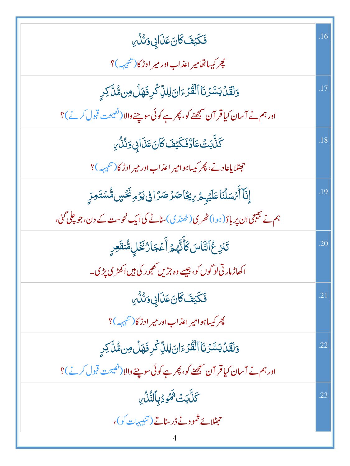| فَكَيْفَ كَانَ عَذَابِي وَنُذُرِ                                                      | .16 |
|---------------------------------------------------------------------------------------|-----|
| چر کیساتھامیر اعذاب اور میر ادڑ کا(تنبیہہ)؟                                           |     |
| وَلَقَلْ يَسَّرُنَا ٱلْقُرْءَانَ لِللَّ كُرِ فَهَلُ مِن مُّلَّ كِرِ                   |     |
| اور ہم نے آسان کیا قر آن سمجھنے کو، پھر ہے کوئی سوچنے والا (ٹھیجت قبول کرنے)؟         |     |
| ؘ<br>ػڶ <sub>ۜ</sub> ؖڹؘٮ <i>ؘٞ</i> ؾؾؘٵۮ۠ڣؘػؿڡؘ؆ؘڽؘڡؘۮؘٳۑٜۥۯٮؙٛۮؗ۠ <i>؇</i> ۣ        | .18 |
| حجٹلایاعادنے، پھر کیساہوامیر اعذاب اور میر ادڑ کا(تنبیہہ)؟                            |     |
| ٳۣڹ۠ٵٚٲٛٙ؍ٛڛؘڶڹؘٲۼڶؽ <sub>ڮ</sub> ؚڂ؆ۣؽڲؘٲڞۯٙڞۯٙٳڧۣؽۯٙۄؚ <sup>ؽ</sup> ػڛۣۨۨڡ۠ۺؾؘڡؚڗؚۣ | .19 |
| ہم نے بھیجی ان پر باؤ( ہو ا) مٹھر ی( ٹھنڈ ی)سناٹے کی ایک نحوست کے دن،جو چلی گئی،      |     |
| تَنزِعُٱلنَّاسَ كَأَنَّهُمُ أَعۡجَارُۢ نَخۡلِ مُّنقَعِرِ                              | .20 |
| اکھاڑ مارتی لو گوں کو، جیسے وہ جڑیں تھجور کی ہیں اکھڑی پڑی۔                           |     |
| فَكَيْفَ كَانَ عَذَابِى وَنُذُرِ                                                      | .21 |
| پھر کیپاہوامیر اعذاب اور میر ادڑ کا(تنب <sub>یہ</sub> ہ)؟                             |     |
| وَلَقَنْ يَسَّرُنَا ٱلْقُرْءَانَ لِللَّ كُرِ فَهَلُ مِن مُّلَّ كِرِ                   | .22 |
| اور ہم نے آسان کیا قر آن سمجھنے کو، پھر ہے کوئی سوچنے والا (نصیحت قبول کرنے )؟        |     |
| <b>ػٙڷۜڹؘؾٞۥ۬ٞ۬ػ</b> ۅۮڹٲڵؾ۠ۨڷؙ؆                                                      | .23 |
| حِمِثْلا بِحَ ثَمُود نے ڈرسناتے (تنبیہات کو)،                                         |     |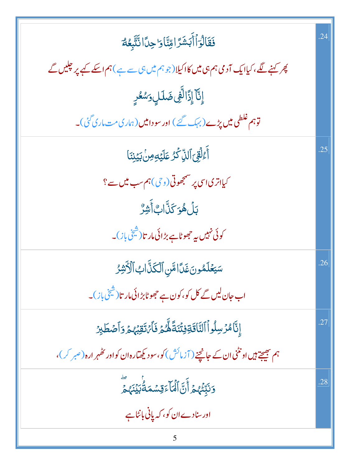| فَقَالُوَأَأَبَشَرَ اوِّنَّاوَاحِدَّانَّتَّبِعُهُ                                                                     | .24 |
|-----------------------------------------------------------------------------------------------------------------------|-----|
| پھر کہنے لگے، کیاایک آدمی ہم ہی <b>می</b> ں کااکیلا $(\mathscr{R}, \mathscr{R})$ یں ہی سے ہے ) ہم اسکے کیے پر چلیں گے |     |
| ٳۣڹۜ۠ۜٵۧٳؚڋؘا <sup>ڶ</sup> ۨ <i>ڣۣ؋</i> ؘٮڶڸٟڗ <i>ۺ</i> ڂڔۣ                                                           |     |
| توہم غلطی میں پڑے (بہ <sub>ک</sub> گئے ) اور سودامیں (ہماری مت <sub>ع</sub> اری گئی)۔                                 |     |
| آَءُلُقِّ ٱلَّذِ <i>ۨ كَرُّ عَلَيْهِ مِنْ بَيَ</i> نِنَا                                                              | .25 |
| کیااتری اسی پر مسمجھوتی(و <i>چی</i> ) ہم سب میں سے ؟                                                                  |     |
| ڹڶ <i>؋ؙ</i> ۅٙڬٙڐۜٳڮٲؘۺ <i>ڒ۠</i>                                                                                    |     |
| کوئی نہیں یہ جھوٹاہے بڑائی مار تا(شیخی باز)۔                                                                          |     |
| سَيَعۡلَمُونَ غَدَّامَّنِ ٱلۡكَٰنَّابُ ٱلۡأَنْثِرُ                                                                    | .26 |
| اب جان لیں گے کل کو، کون ہے جھوٹابڑائی مار تا $(\H \mathring{\mathbb{Z}})$ ۔                                          |     |
| ٳڽٚؖٲۿۯڛ <b>ڵ</b> ۅٲٱڵؾٞٲۊ <i>ٙ</i> ڣؿؘڎؘڡ۠ؖۜڴؽۄ۫ڣؘٲ <i>ؠٛ</i> ڗٙۊؚ <i>ڹ</i> ٛۿ؏ۅؘٲڞڟڹۯ                               | .27 |
| ہم بھیجتے ہیں اونٹنی ان کے جانچنے ( آزمائش ) کو، سو دیکھتارہ ان کواور تھٰہر ارہ ( صبر کر )،                           |     |
| ؚ<br><b>وَنَبِّئۡهُمۡ أَنَّ ٱلۡمَاۤءَقِسۡمَةُٰبَيۡنَہُمۡ</b>                                                          | .28 |
| اور سنادے ان کو، کہ پانی بائٹاہے                                                                                      |     |
| 5                                                                                                                     |     |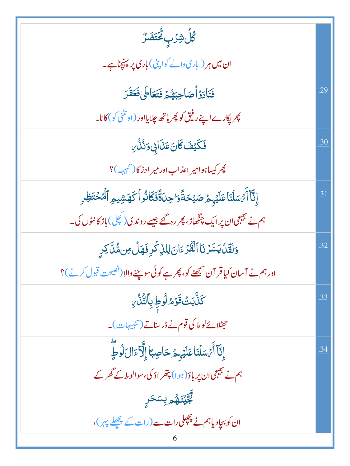| ڴڵٞۺ۫ۯٙڹؚڴۘ <i>ؾٙڞؘڒ۠</i>                                                              |     |
|----------------------------------------------------------------------------------------|-----|
| ان میں ہر ( باری دالے کواپٹی) باری پر پہنچناہے۔                                        |     |
| فَنَادَوُاًصَاحِبَهُمَّ فَتَعَاطَىٰفَعَقَرَ                                            | .29 |
| پھر <sub>ل</sub> پکارے اپنے رفیق کو پھر ہاتھ جلایااور (او نٹنی کو) کاٹا۔               |     |
| فَكَيْفَ كَانَ عَذَابِي وَنُذُرِ                                                       | .30 |
| چر کیساہوامیر اعذاب اور میر ادڑ کا(تنبیہہ)؟                                            |     |
| إِنَّآ أَيۡسَلۡنَاۚ عَلَيۡہِمۡ صَيۡحَةًۚوَا حِلَةًۚ فَكَانُو أَكَهَشۡيوِ ٱلۡٱصۡقَطِٰرِ | .31 |
| ہم نے بھیجی ان پر ایک چنگھاڑ، پھر رہ گئے جیسے روندی(کچلی)باڑ کا نٹوں کی۔               |     |
| وَلَقَلْ يَسَّرُنَا ٱلْقُرْءَانَ لِللَّ كُرِ فَهَلُ مِن مُّلَّ كِرِ                    | .32 |
| اور ہم نے آسان کیا قر آن سمجھنے کو، پھر ہے کوئی سوچنے والا (نصیحت قبول کرنے )؟         |     |
| <b>كَنَّابَتْ قَوْمُ لُوطِ بِٱلتُّنُّ</b> يِ                                           | .33 |
| حِمِثْلائے لوط کی <b>قوم نے ڈرسناتے (تنب</b> یہات)۔                                    |     |
| إِنَّآ أَمۡسَلۡنَا عَلَيۡہِمۡ حَاصِبًاۤ إِلَّآءَالَ لَوۡطٍ                             | .34 |
| ہم نے بھیجی ان پر باؤ( ہوا) پتھر اؤ کی، سوالو ط $\leq$ گھر کے                          |     |
| ڹ <sub>ؖ</sub> ؾ <sub>ۜٙڷڣ</sub> ۄۑؚڛؘڬڕۣ                                              |     |
| ان کو بچادیاہم نے پچھلی رات سے (رات کے پچھلے پہر)،                                     |     |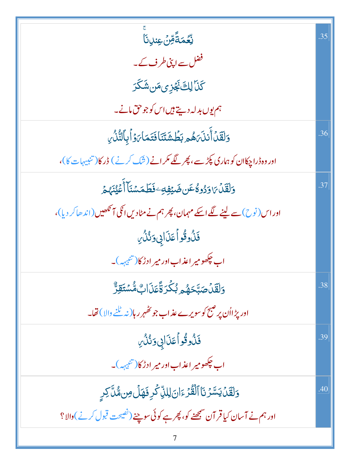| ؚ<br>ڵ <b>ؚػ</b> ڡؘڐؘۘڡؚۜڽؘؾڹڹٲۜ                                                 | .35 |
|----------------------------------------------------------------------------------|-----|
| فضل سے اپنی طرف کے۔                                                              |     |
| <i>ػ</i> ٙڶ <i>ٙٳڸڰؘۼٞ<sub>ؖ</sub>ڋؽؚۄؘڛٙۺؘػڗ</i>                                |     |
| ہم یوں بدلہ دیتے ہیں اس کو جو حق مانے۔                                           |     |
| <u>و</u> َلَقَّلۡ أَنلَہَ هُم <i>ِ بَ</i> طَٰۺَتَنَافَتَمَاہَ وَٱبِٱلتُّلُّ      | .36 |
| اور وہ ڈراچکاان کوہماری پکڑے، پھر لگے مکر انے (شک کرنے) ڈرکا(تنبیہات کا)،        |     |
| <u>و</u> َلَقَّلۡ؆وَدُوةُعَن ضَيۡفِهِ ۖ فَطَمَسۡنَآ أَعۡيُنَهُمۡ                 | .37 |
| اور اس (نوح) سے لینے لگے اسکے مہمان، پھر ہم نے مٹادیں انکی آنکھیں (اندھاکر دیا)، |     |
| ڣٙڷؙۏػٛۅٲٙ۠۠۠ڡؘۮؘٳڸ؈ؘڎؙڎۢ <i>ڹ</i>                                               |     |
| اب چکھومیر اعذاب اور میر ادڑ کا(تئیہہ)۔                                          |     |
| <u>و</u> َلَقَّلۡصَيَّحَهُم <i>ُ بُ</i> كَّرَةًۚعَذَاكِ مُّسۡتَقِرُّ             | .38 |
| اور پڑااُن پر صبح کو سویرے عذاب جو کٹھہر رہا( نہ ٹلنے والا ) تھا۔                |     |
| ڣٙڷؙۏػٛۅٲٙ۠۠۠ڡؘڶؘٳڮۊٮؙ۠ڎؙ <i>۠ٞ</i> ؆ۣ                                           | .39 |
| اب چکھومیر اعذاب اور میر ادڑ کا(تئبیہہ)۔                                         |     |
| وَلَقَلۡ يَسَّرُنَا ٱلۡقُرۡءَانَ لِلَّيۡ كَٰٓدِ فَهَلۡ مِن مُّلَّ كِرِ           | .40 |
| اور ہم نے آسان کیا قر آن سمجھنے کو، پھر ہے کوئی سوچنے (ٹھیحت قبول کرنے )والا؟    |     |
|                                                                                  |     |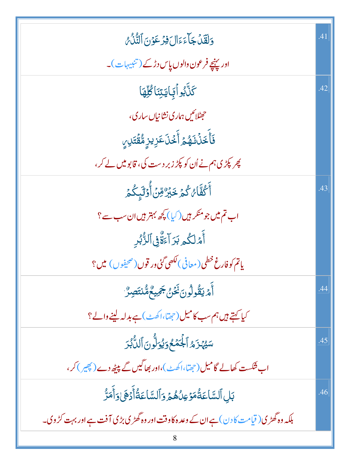| وَلَقَلْ جَاءَءَالَ فِرْعَوْنَ ٱلتُّلُّهُ                                              | .41 |
|----------------------------------------------------------------------------------------|-----|
| اور پہنچے فرعون والوں پاس دڑکے (تنبیہات)۔                                              |     |
| <b>َ</b> كَنَّابُواْ بَايَتِنَا كُلُّهَا                                               | .42 |
| حصالکیں ہماری نشانیاں ساری،                                                            |     |
| فَأَخَذُنَهُمُ أَخۡذَى عَزِيزِ مُّقۡتَلِيِ                                             |     |
| پھر پکڑی ہم نے اُن کو پکڑ زبر دست کی، قابو میں لے کر،                                  |     |
| ِ<br>أَكُفَّاءُ كُمۡ خَبُرُۢ مِّنۡ أُوۡلَ <sub>ٓئِ</sub> كُمۡ                          | .43 |
| اب تم میں جو منکر ہیں (کیا) کچھ بہتر ہیں ان سب سے ؟                                    |     |
| ٲٞٙٙۿڶػ۠ۄڹڗٳٙۦۜۊۜ۠ڣٲڶڗ۠۠ڹ۠ڔؚ                                                           |     |
| ياتم كوفارغ خطى(معافى) لكصى گئى در قوں(صحيفوں) ميں؟                                    |     |
| ٲٛ <i>ٙۄ۫</i> ؾڦۢۅڷۅڹؘڬٙؽ۬ڿٙڥؠڠ۠ڡ۠ٞٮ۬ؾؘڝؚڒ۠                                            | .44 |
| کیا کہتے ہیں ہم سب کامیل (حجمؓا،اکھٹ) ہے بدلہ لینے والے؟                               |     |
| سَيُّهَزَمُ ٱلْجُمَّعُ وَيُوَلُّونَ ٱللَّٰٓبُرَ                                        | .45 |
| اب فنکست کھالے گامیل(حجقا،اکھٹ)،اور بھاگیں گے پیٹھ دے(چیس)کر،                          |     |
| بَلِ ٱلسَّاعَةُمَوۡعِلُهُمۡ وَٱلسَّاعَةُٰٓأَدۡهَىٰوَأَمَرَّ                            | .46 |
| بلکہ وہ گھڑی( قیامت کا دن ) ہے ان کے وعد ہ کاوفت اور وہ گھڑی بڑی آفت ہے اور بہت کڑ وی۔ |     |
|                                                                                        |     |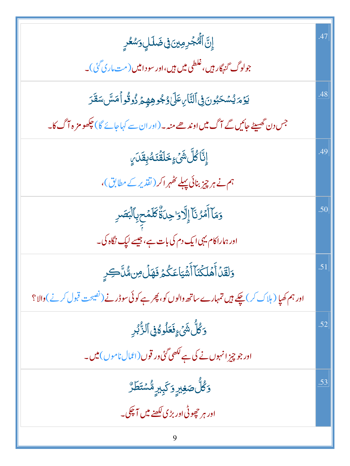| ٳۣڹ <mark>ٞٲڷؙ<sup>ۣٛ</sup>ٛ</mark> ۼڔڡؚؾ؋ۣۻؘڶڸٟۥٙ <i>ۺڂ</i> ڔۣ                                   | 47  |
|---------------------------------------------------------------------------------------------------|-----|
| جولوگ <sub>گنهگا</sub> ر ہیں، غلطی میں ہیں،اور سو دامیں (مت،اری گئی)۔                             |     |
| <i>ؽ</i> ۯٙ <i>ۄؘ</i> ؽ۠ۺٞڂڹ۠ۅڽٙ؋ۣٲڵڹؓٲٮۣٵٙڶؽٷۼ۠ۅۿؚڥٟۄٙۯ۠ۏڤؙۅٲڡٙۺۧٮڡٙڨٙڗ                          | .48 |
| جس دن گھسپٹے جائیں گے آگ میں اوندھے منہ ۔(اور ان سے کہاجائے گا) چکھو مز ہ آگ کا۔                  |     |
| ٳۣڐۜٵػؗڵؖۺؘٛۦٟڂڶڡٙؗٸٷڹڡؘٙٮؘ؇ٟ                                                                     | .49 |
| ہم نے ہر چیز بنائی پہلے ٹھہر اکر (تقدیر کے مطابق)،                                                |     |
| وَمَآأَمۡرُنَّآۚ إِلَّا وَاحِدَةٌۚ كَلۡمۡحٖبِٱلۡبَصَدِ                                            | .50 |
| اور ہماراکام یہی ایک دم کی بات ہے، جیسے لیک نگاہ کی۔                                              |     |
| وَلَقَلۡ أَهۡلَكۡنَآ أَشۡيَاعَكُمۡ فَهَلۡ مِن مُّلَّكَے رِ                                        | .51 |
| اور ہم کھیا ( ہلاک کر ) چکے ہیں تمہارے ساتھ والوں کو، پھر ہے کوئی سوڈر نے (ٹھیحت قبول کرنے )والا؟ |     |
| <u>وَكُلُّ شَيْءٍفَعَلُوكُوْنَ</u> ٱلزُّبُرِ                                                      | .52 |
| اور جو چیز انہوں نے کی ہے لکھی گئی ور قوں (اعمال ناموں) میں۔                                      |     |
| <i>ۏڴڵٞ۠</i> ڞ <i>ۼ</i> ۣێڔۣۏػۑؚۜڸڔۣڡ۠۠ۺ۫ؿؘڟؘڒ۠                                                   | .53 |
| اور ہر جھوٹی اور بڑی لکھنے میں آ چکی۔                                                             |     |
| 9                                                                                                 |     |